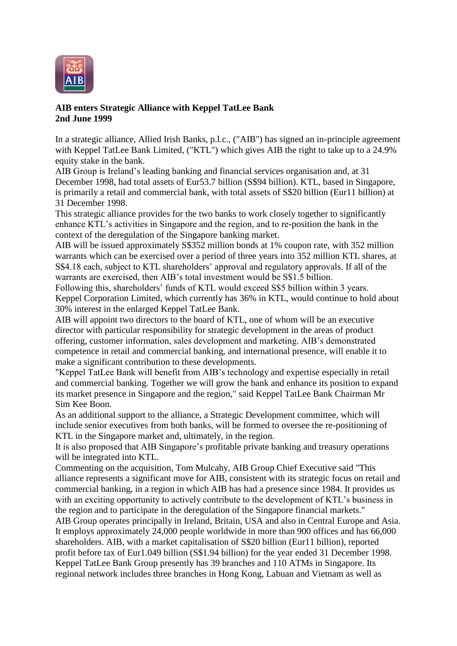

## **AIB enters Strategic Alliance with Keppel TatLee Bank 2nd June 1999**

In a strategic alliance, Allied Irish Banks, p.l.c., ("AIB") has signed an in-principle agreement with Keppel TatLee Bank Limited, ("KTL") which gives AIB the right to take up to a 24.9% equity stake in the bank.

AIB Group is Ireland's leading banking and financial services organisation and, at 31 December 1998, had total assets of Eur53.7 billion (S\$94 billion). KTL, based in Singapore, is primarily a retail and commercial bank, with total assets of S\$20 billion (Eur11 billion) at 31 December 1998.

This strategic alliance provides for the two banks to work closely together to significantly enhance KTL's activities in Singapore and the region, and to re-position the bank in the context of the deregulation of the Singapore banking market.

AIB will be issued approximately S\$352 million bonds at 1% coupon rate, with 352 million warrants which can be exercised over a period of three years into 352 million KTL shares, at S\$4.18 each, subject to KTL shareholders' approval and regulatory approvals. If all of the warrants are exercised, then AIB's total investment would be S\$1.5 billion.

Following this, shareholders' funds of KTL would exceed S\$5 billion within 3 years. Keppel Corporation Limited, which currently has 36% in KTL, would continue to hold about 30% interest in the enlarged Keppel TatLee Bank.

AIB will appoint two directors to the board of KTL, one of whom will be an executive director with particular responsibility for strategic development in the areas of product offering, customer information, sales development and marketing. AIB's demonstrated competence in retail and commercial banking, and international presence, will enable it to make a significant contribution to these developments.

"Keppel TatLee Bank will benefit from AIB's technology and expertise especially in retail and commercial banking. Together we will grow the bank and enhance its position to expand its market presence in Singapore and the region," said Keppel TatLee Bank Chairman Mr Sim Kee Boon.

As an additional support to the alliance, a Strategic Development committee, which will include senior executives from both banks, will be formed to oversee the re-positioning of KTL in the Singapore market and, ultimately, in the region.

It is also proposed that AIB Singapore's profitable private banking and treasury operations will be integrated into KTL.

Commenting on the acquisition, Tom Mulcahy, AIB Group Chief Executive said "This alliance represents a significant move for AIB, consistent with its strategic focus on retail and commercial banking, in a region in which AIB has had a presence since 1984. It provides us with an exciting opportunity to actively contribute to the development of KTL's business in the region and to participate in the deregulation of the Singapore financial markets."

AIB Group operates principally in Ireland, Britain, USA and also in Central Europe and Asia. It employs approximately 24,000 people worldwide in more than 900 offices and has 66,000 shareholders. AIB, with a market capitalisation of S\$20 billion (Eur11 billion), reported profit before tax of Eur1.049 billion (S\$1.94 billion) for the year ended 31 December 1998. Keppel TatLee Bank Group presently has 39 branches and 110 ATMs in Singapore. Its regional network includes three branches in Hong Kong, Labuan and Vietnam as well as